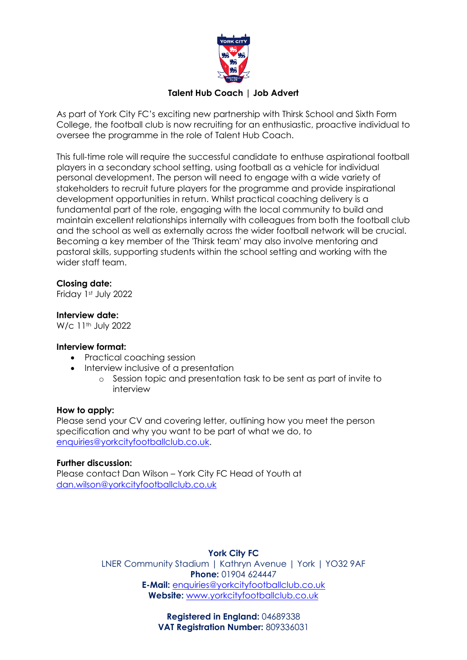

## **Talent Hub Coach | Job Advert**

As part of York City FC's exciting new partnership with Thirsk School and Sixth Form College, the football club is now recruiting for an enthusiastic, proactive individual to oversee the programme in the role of Talent Hub Coach.

This full-time role will require the successful candidate to enthuse aspirational football players in a secondary school setting, using football as a vehicle for individual personal development. The person will need to engage with a wide variety of stakeholders to recruit future players for the programme and provide inspirational development opportunities in return. Whilst practical coaching delivery is a fundamental part of the role, engaging with the local community to build and maintain excellent relationships internally with colleagues from both the football club and the school as well as externally across the wider football network will be crucial. Becoming a key member of the 'Thirsk team' may also involve mentoring and pastoral skills, supporting students within the school setting and working with the wider staff team.

## **Closing date:**

Friday 1st July 2022

#### **Interview date:**

W/c 11<sup>th</sup> July 2022

#### **Interview format:**

- Practical coaching session
- Interview inclusive of a presentation
	- o Session topic and presentation task to be sent as part of invite to interview

#### **How to apply:**

Please send your CV and covering letter, outlining how you meet the person specification and why you want to be part of what we do, to [enquiries@yorkcityfootballclub.co.uk.](mailto:enquiries@yorkcityfootballclub.co.uk)

#### **Further discussion:**

Please contact Dan Wilson – York City FC Head of Youth at [dan.wilson@yorkcityfootballclub.co.uk](mailto:dan.wilson@yorkcityfootballclub.co.uk)

# **York City FC**

LNER Community Stadium | Kathryn Avenue | York | YO32 9AF **Phone:** 01904 624447 **E-Mail:** [enquiries@yorkcityfootballclub.co.uk](mailto:enquiries@yorkcityfootballclub.co.uk) **Website:** [www.yorkcityfootballclub.co.uk](http://www.yorkcityfootballclub.co.uk/)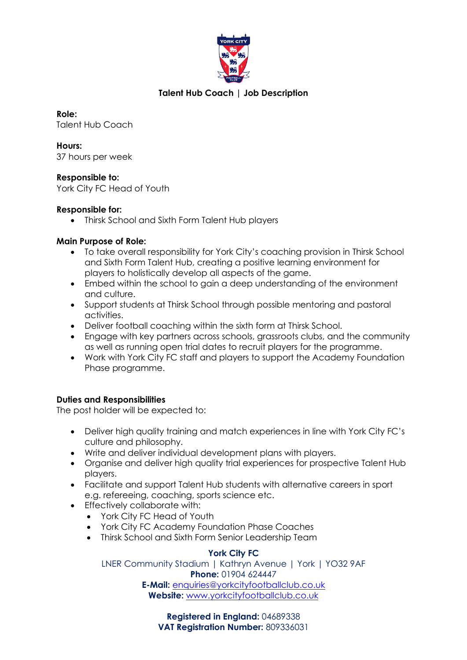

# **Talent Hub Coach | Job Description**

**Role:** Talent Hub Coach

**Hours:** 37 hours per week

## **Responsible to:**

York City FC Head of Youth

#### **Responsible for:**

• Thirsk School and Sixth Form Talent Hub players

## **Main Purpose of Role:**

- To take overall responsibility for York City's coaching provision in Thirsk School and Sixth Form Talent Hub, creating a positive learning environment for players to holistically develop all aspects of the game.
- Embed within the school to gain a deep understanding of the environment and culture.
- Support students at Thirsk School through possible mentoring and pastoral activities.
- Deliver football coaching within the sixth form at Thirsk School.
- Engage with key partners across schools, grassroots clubs, and the community as well as running open trial dates to recruit players for the programme.
- Work with York City FC staff and players to support the Academy Foundation Phase programme.

#### **Duties and Responsibilities**

The post holder will be expected to:

- Deliver high quality training and match experiences in line with York City FC's culture and philosophy.
- Write and deliver individual development plans with players.
- Organise and deliver high quality trial experiences for prospective Talent Hub players.
- Facilitate and support Talent Hub students with alternative careers in sport e.g. refereeing, coaching, sports science etc.
- Effectively collaborate with:
	- York City FC Head of Youth
	- York City FC Academy Foundation Phase Coaches
	- Thirsk School and Sixth Form Senior Leadership Team

# **York City FC**

LNER Community Stadium | Kathryn Avenue | York | YO32 9AF **Phone:** 01904 624447 **E-Mail:** [enquiries@yorkcityfootballclub.co.uk](mailto:enquiries@yorkcityfootballclub.co.uk) **Website:** [www.yorkcityfootballclub.co.uk](http://www.yorkcityfootballclub.co.uk/)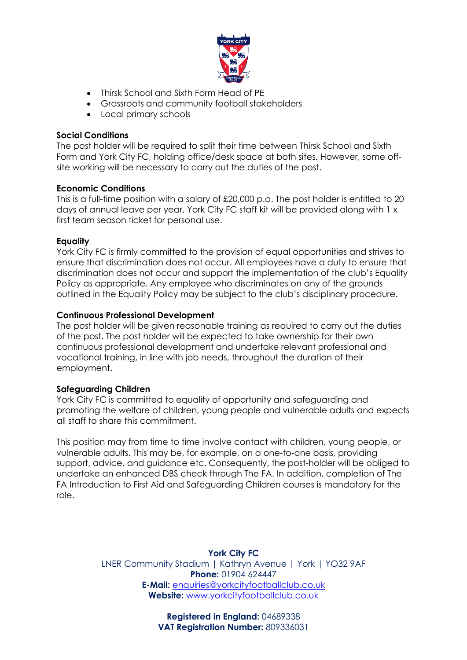

- Thirsk School and Sixth Form Head of PE
- Grassroots and community football stakeholders
- Local primary schools

#### **Social Conditions**

The post holder will be required to split their time between Thirsk School and Sixth Form and York City FC, holding office/desk space at both sites. However, some offsite working will be necessary to carry out the duties of the post.

#### **Economic Conditions**

This is a full-time position with a salary of £20,000 p.a. The post holder is entitled to 20 days of annual leave per year, York City FC staff kit will be provided along with 1 x first team season ticket for personal use.

#### **Equality**

York City FC is firmly committed to the provision of equal opportunities and strives to ensure that discrimination does not occur. All employees have a duty to ensure that discrimination does not occur and support the implementation of the club's Equality Policy as appropriate. Any employee who discriminates on any of the grounds outlined in the Equality Policy may be subject to the club's disciplinary procedure.

#### **Continuous Professional Development**

The post holder will be given reasonable training as required to carry out the duties of the post. The post holder will be expected to take ownership for their own continuous professional development and undertake relevant professional and vocational training, in line with job needs, throughout the duration of their employment.

#### **Safeguarding Children**

York City FC is committed to equality of opportunity and safeguarding and promoting the welfare of children, young people and vulnerable adults and expects all staff to share this commitment.

This position may from time to time involve contact with children, young people, or vulnerable adults. This may be, for example, on a one-to-one basis, providing support, advice, and guidance etc. Consequently, the post-holder will be obliged to undertake an enhanced DBS check through The FA. In addition, completion of The FA Introduction to First Aid and Safeguarding Children courses is mandatory for the role.

> **York City FC** LNER Community Stadium | Kathryn Avenue | York | YO32 9AF **Phone:** 01904 624447 **E-Mail:** [enquiries@yorkcityfootballclub.co.uk](mailto:enquiries@yorkcityfootballclub.co.uk) **Website:** [www.yorkcityfootballclub.co.uk](http://www.yorkcityfootballclub.co.uk/)